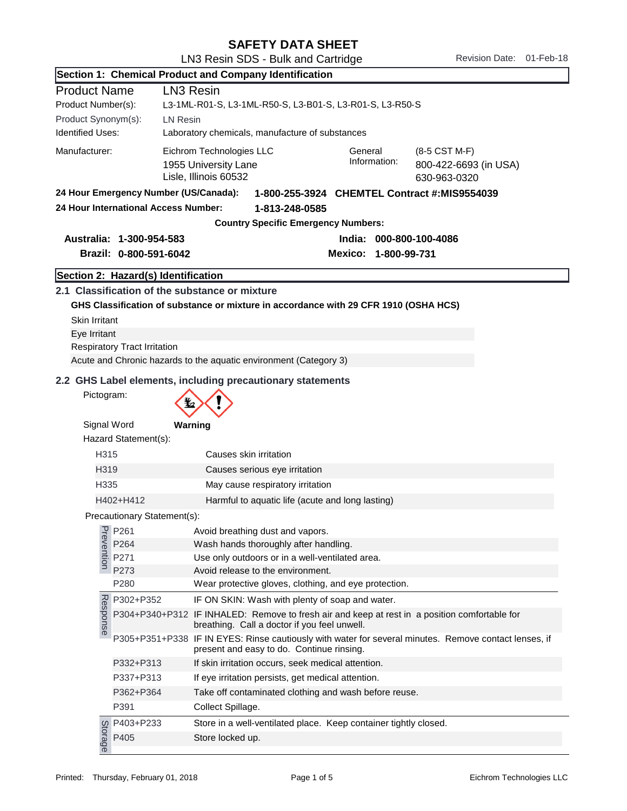| Section 1: Chemical Product and Company Identification                                |                                                 |                                                                                                                                                                |  |  |  |
|---------------------------------------------------------------------------------------|-------------------------------------------------|----------------------------------------------------------------------------------------------------------------------------------------------------------------|--|--|--|
| <b>Product Name</b><br>LN <sub>3</sub> Resin                                          |                                                 |                                                                                                                                                                |  |  |  |
| Product Number(s):                                                                    |                                                 | L3-1ML-R01-S, L3-1ML-R50-S, L3-B01-S, L3-R01-S, L3-R50-S                                                                                                       |  |  |  |
| Product Synonym(s):                                                                   |                                                 | <b>LN Resin</b>                                                                                                                                                |  |  |  |
| <b>Identified Uses:</b>                                                               | Laboratory chemicals, manufacture of substances |                                                                                                                                                                |  |  |  |
| Manufacturer:                                                                         |                                                 | Eichrom Technologies LLC<br>General<br>(8-5 CST M-F)<br>Information:<br>1955 University Lane<br>800-422-6693 (in USA)<br>Lisle, Illinois 60532<br>630-963-0320 |  |  |  |
| 24 Hour Emergency Number (US/Canada):<br>1-800-255-3924 CHEMTEL Contract #:MIS9554039 |                                                 |                                                                                                                                                                |  |  |  |
|                                                                                       | 24 Hour International Access Number:            | 1-813-248-0585                                                                                                                                                 |  |  |  |
|                                                                                       |                                                 | <b>Country Specific Emergency Numbers:</b>                                                                                                                     |  |  |  |
|                                                                                       | Australia: 1-300-954-583                        | India: 000-800-100-4086                                                                                                                                        |  |  |  |
|                                                                                       | Brazil: 0-800-591-6042                          | Mexico: 1-800-99-731                                                                                                                                           |  |  |  |
|                                                                                       |                                                 |                                                                                                                                                                |  |  |  |
|                                                                                       | Section 2: Hazard(s) Identification             |                                                                                                                                                                |  |  |  |
|                                                                                       |                                                 | 2.1 Classification of the substance or mixture                                                                                                                 |  |  |  |
|                                                                                       |                                                 | GHS Classification of substance or mixture in accordance with 29 CFR 1910 (OSHA HCS)                                                                           |  |  |  |
| <b>Skin Irritant</b><br>Eye Irritant                                                  |                                                 |                                                                                                                                                                |  |  |  |
|                                                                                       | <b>Respiratory Tract Irritation</b>             |                                                                                                                                                                |  |  |  |
|                                                                                       |                                                 | Acute and Chronic hazards to the aquatic environment (Category 3)                                                                                              |  |  |  |
|                                                                                       |                                                 |                                                                                                                                                                |  |  |  |
|                                                                                       |                                                 | 2.2 GHS Label elements, including precautionary statements                                                                                                     |  |  |  |
| Pictogram:                                                                            |                                                 |                                                                                                                                                                |  |  |  |
| Signal Word                                                                           |                                                 | Warning                                                                                                                                                        |  |  |  |
|                                                                                       | Hazard Statement(s):                            |                                                                                                                                                                |  |  |  |
| H315                                                                                  |                                                 | Causes skin irritation                                                                                                                                         |  |  |  |
| H319                                                                                  |                                                 | Causes serious eye irritation                                                                                                                                  |  |  |  |
| H335                                                                                  |                                                 | May cause respiratory irritation                                                                                                                               |  |  |  |
|                                                                                       | H402+H412                                       | Harmful to aquatic life (acute and long lasting)                                                                                                               |  |  |  |
|                                                                                       | Precautionary Statement(s):                     |                                                                                                                                                                |  |  |  |
|                                                                                       |                                                 |                                                                                                                                                                |  |  |  |
| Prevention                                                                            | P261<br>P264                                    | Avoid breathing dust and vapors.<br>Wash hands thoroughly after handling.                                                                                      |  |  |  |
|                                                                                       | P271                                            | Use only outdoors or in a well-ventilated area.                                                                                                                |  |  |  |
|                                                                                       | P273                                            | Avoid release to the environment.                                                                                                                              |  |  |  |
|                                                                                       | P280                                            | Wear protective gloves, clothing, and eye protection.                                                                                                          |  |  |  |
|                                                                                       | P302+P352                                       | IF ON SKIN: Wash with plenty of soap and water.                                                                                                                |  |  |  |
| Response                                                                              |                                                 | P304+P340+P312 IF INHALED: Remove to fresh air and keep at rest in a position comfortable for<br>breathing. Call a doctor if you feel unwell.                  |  |  |  |
|                                                                                       |                                                 | P305+P351+P338 IF IN EYES: Rinse cautiously with water for several minutes. Remove contact lenses, if<br>present and easy to do. Continue rinsing.             |  |  |  |
|                                                                                       | P332+P313                                       | If skin irritation occurs, seek medical attention.                                                                                                             |  |  |  |
|                                                                                       | P337+P313                                       | If eye irritation persists, get medical attention.                                                                                                             |  |  |  |
|                                                                                       | P362+P364                                       | Take off contaminated clothing and wash before reuse.                                                                                                          |  |  |  |
|                                                                                       | P391                                            | Collect Spillage.                                                                                                                                              |  |  |  |
|                                                                                       | P403+P233                                       | Store in a well-ventilated place. Keep container tightly closed.                                                                                               |  |  |  |
| Storage                                                                               | P405                                            | Store locked up.                                                                                                                                               |  |  |  |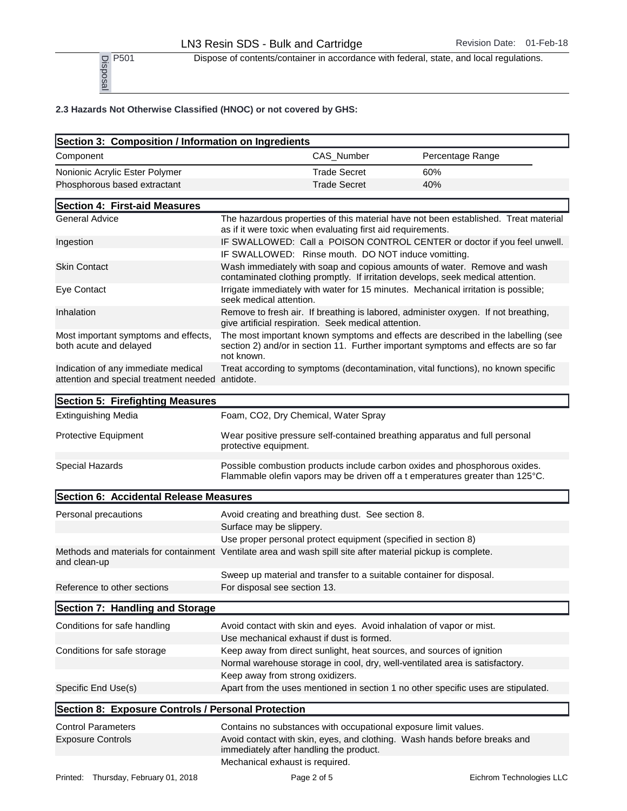P<sub>501</sub> Dispose of contents/container in accordance with federal, state, and local regulations.

| P501<br>Disposal                                                                                                            | Dispose of contents/container in accordance with federal, state, and local regulations.                                                                                               |     |                  |
|-----------------------------------------------------------------------------------------------------------------------------|---------------------------------------------------------------------------------------------------------------------------------------------------------------------------------------|-----|------------------|
| 2.3 Hazards Not Otherwise Classified (HNOC) or not covered by GHS:                                                          |                                                                                                                                                                                       |     |                  |
| Section 3: Composition / Information on Ingredients                                                                         |                                                                                                                                                                                       |     |                  |
| Component                                                                                                                   | CAS_Number                                                                                                                                                                            |     | Percentage Range |
| Nonionic Acrylic Ester Polymer                                                                                              | <b>Trade Secret</b>                                                                                                                                                                   | 60% |                  |
| Phosphorous based extractant                                                                                                | <b>Trade Secret</b>                                                                                                                                                                   | 40% |                  |
| Section 4: First-aid Measures                                                                                               |                                                                                                                                                                                       |     |                  |
| <b>General Advice</b>                                                                                                       | The hazardous properties of this material have not been established. Treat material<br>as if it were toxic when evaluating first aid requirements.                                    |     |                  |
| Ingestion                                                                                                                   | IF SWALLOWED: Call a POISON CONTROL CENTER or doctor if you feel unwell.<br>IF SWALLOWED: Rinse mouth. DO NOT induce vomitting.                                                       |     |                  |
| <b>Skin Contact</b>                                                                                                         | Wash immediately with soap and copious amounts of water. Remove and wash<br>contaminated clothing promptly. If irritation develops, seek medical attention.                           |     |                  |
| Eye Contact                                                                                                                 | Irrigate immediately with water for 15 minutes. Mechanical irritation is possible;<br>seek medical attention.                                                                         |     |                  |
| Inhalation                                                                                                                  | Remove to fresh air. If breathing is labored, administer oxygen. If not breathing,<br>give artificial respiration. Seek medical attention.                                            |     |                  |
| Most important symptoms and effects,<br>both acute and delayed                                                              | The most important known symptoms and effects are described in the labelling (see<br>section 2) and/or in section 11. Further important symptoms and effects are so far<br>not known. |     |                  |
| Indication of any immediate medical<br>attention and special treatment needed antidote.                                     | Treat according to symptoms (decontamination, vital functions), no known specific                                                                                                     |     |                  |
| Section 5: Firefighting Measures                                                                                            |                                                                                                                                                                                       |     |                  |
| <b>Extinguishing Media</b>                                                                                                  | Foam, CO2, Dry Chemical, Water Spray                                                                                                                                                  |     |                  |
| Protective Equipment                                                                                                        | Wear positive pressure self-contained breathing apparatus and full personal<br>protective equipment.                                                                                  |     |                  |
| Special Hazards                                                                                                             | Possible combustion products include carbon oxides and phosphorous oxides.<br>Flammable olefin vapors may be driven off a t emperatures greater than 125°C.                           |     |                  |
| Section 6: Accidental Release Measures                                                                                      |                                                                                                                                                                                       |     |                  |
| Personal precautions                                                                                                        | Avoid creating and breathing dust. See section 8.                                                                                                                                     |     |                  |
|                                                                                                                             | Surface may be slippery.                                                                                                                                                              |     |                  |
|                                                                                                                             | Use proper personal protect equipment (specified in section 8)                                                                                                                        |     |                  |
| Methods and materials for containment Ventilate area and wash spill site after material pickup is complete.<br>and clean-up |                                                                                                                                                                                       |     |                  |
|                                                                                                                             | Sweep up material and transfer to a suitable container for disposal.                                                                                                                  |     |                  |
| Reference to other sections                                                                                                 | For disposal see section 13.                                                                                                                                                          |     |                  |
| Section 7: Handling and Storage                                                                                             |                                                                                                                                                                                       |     |                  |
| Conditions for safe handling                                                                                                | Avoid contact with skin and eyes. Avoid inhalation of vapor or mist.                                                                                                                  |     |                  |
|                                                                                                                             | Use mechanical exhaust if dust is formed.                                                                                                                                             |     |                  |
| Conditions for safe storage                                                                                                 | Keep away from direct sunlight, heat sources, and sources of ignition                                                                                                                 |     |                  |
|                                                                                                                             | Normal warehouse storage in cool, dry, well-ventilated area is satisfactory.<br>Keep away from strong oxidizers.                                                                      |     |                  |
| Specific End Use(s)                                                                                                         | Apart from the uses mentioned in section 1 no other specific uses are stipulated.                                                                                                     |     |                  |
| Section 8: Exposure Controls / Personal Protection                                                                          |                                                                                                                                                                                       |     |                  |
| <b>Control Parameters</b>                                                                                                   | Contains no substances with occupational exposure limit values.                                                                                                                       |     |                  |
| <b>Exposure Controls</b>                                                                                                    | Avoid contact with skin, eyes, and clothing. Wash hands before breaks and<br>immediately after handling the product.<br>Mechanical exhaust is required.                               |     |                  |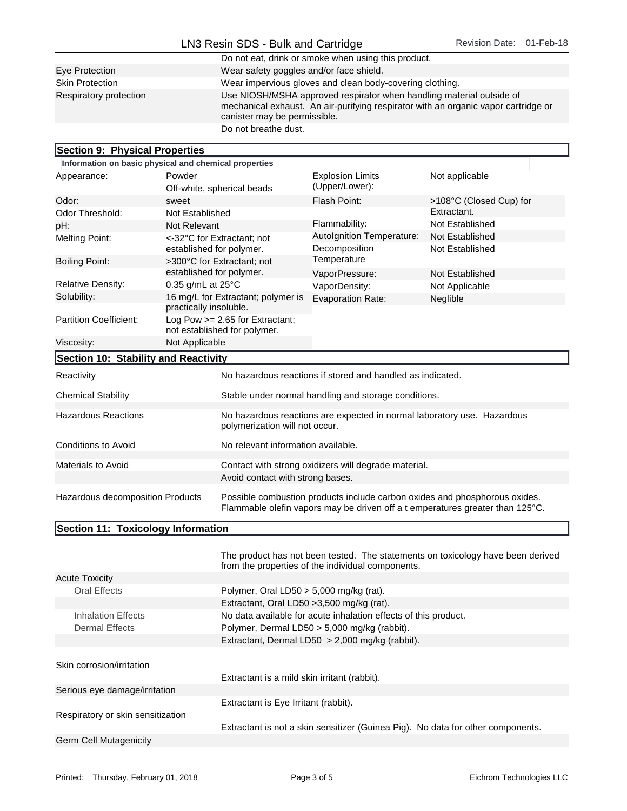|                        | LN3 Resin SDS - Bulk and Cartridge                                                                                                                                                         | Revision Date: 01-Feb-18 |  |
|------------------------|--------------------------------------------------------------------------------------------------------------------------------------------------------------------------------------------|--------------------------|--|
|                        | Do not eat, drink or smoke when using this product.                                                                                                                                        |                          |  |
| Eye Protection         | Wear safety goggles and/or face shield.                                                                                                                                                    |                          |  |
| <b>Skin Protection</b> | Wear impervious gloves and clean body-covering clothing.                                                                                                                                   |                          |  |
| Respiratory protection | Use NIOSH/MSHA approved respirator when handling material outside of<br>mechanical exhaust. An air-purifying respirator with an organic vapor cartridge or<br>canister may be permissible. |                          |  |
|                        | Do not breathe dust.                                                                                                                                                                       |                          |  |

## Section 9: Physical Properties

| OCUNUTI J. FIIYƏN AIFI UPCINCƏ                        |                               |                                                                                                           |                                                            |                                                                                                                                                             |
|-------------------------------------------------------|-------------------------------|-----------------------------------------------------------------------------------------------------------|------------------------------------------------------------|-------------------------------------------------------------------------------------------------------------------------------------------------------------|
| Information on basic physical and chemical properties |                               |                                                                                                           |                                                            |                                                                                                                                                             |
| Appearance:                                           | Powder                        |                                                                                                           | <b>Explosion Limits</b>                                    | Not applicable                                                                                                                                              |
|                                                       |                               | Off-white, spherical beads                                                                                | (Upper/Lower):                                             |                                                                                                                                                             |
| Odor:                                                 | sweet                         |                                                                                                           | Flash Point:                                               | >108°C (Closed Cup) for                                                                                                                                     |
| Odor Threshold:                                       | Not Established               |                                                                                                           |                                                            | Extractant.                                                                                                                                                 |
| pH:                                                   | Not Relevant                  |                                                                                                           | Flammability:                                              | Not Established                                                                                                                                             |
| Melting Point:                                        | established for polymer.      | <-32°C for Extractant: not                                                                                | Autolgnition Temperature:<br>Decomposition                 | Not Established<br>Not Established                                                                                                                          |
| <b>Boiling Point:</b>                                 |                               | >300°C for Extractant: not                                                                                | Temperature                                                |                                                                                                                                                             |
|                                                       | established for polymer.      |                                                                                                           | VaporPressure:                                             | Not Established                                                                                                                                             |
| <b>Relative Density:</b>                              | $0.35$ g/mL at $25^{\circ}$ C |                                                                                                           | VaporDensity:                                              | Not Applicable                                                                                                                                              |
| Solubility:                                           | practically insoluble.        | 16 mg/L for Extractant; polymer is                                                                        | <b>Evaporation Rate:</b>                                   | Neglible                                                                                                                                                    |
| <b>Partition Coefficient:</b>                         |                               | Log Pow $>= 2.65$ for Extractant;<br>not established for polymer.                                         |                                                            |                                                                                                                                                             |
| Viscosity:                                            | Not Applicable                |                                                                                                           |                                                            |                                                                                                                                                             |
| Section 10: Stability and Reactivity                  |                               |                                                                                                           |                                                            |                                                                                                                                                             |
| Reactivity                                            |                               |                                                                                                           | No hazardous reactions if stored and handled as indicated. |                                                                                                                                                             |
| <b>Chemical Stability</b>                             |                               |                                                                                                           | Stable under normal handling and storage conditions.       |                                                                                                                                                             |
| <b>Hazardous Reactions</b>                            |                               | No hazardous reactions are expected in normal laboratory use. Hazardous<br>polymerization will not occur. |                                                            |                                                                                                                                                             |
| <b>Conditions to Avoid</b>                            |                               | No relevant information available.                                                                        |                                                            |                                                                                                                                                             |
| <b>Materials to Avoid</b>                             |                               |                                                                                                           | Contact with strong oxidizers will degrade material.       |                                                                                                                                                             |
|                                                       |                               | Avoid contact with strong bases.                                                                          |                                                            |                                                                                                                                                             |
| Hazardous decomposition Products                      |                               |                                                                                                           |                                                            | Possible combustion products include carbon oxides and phosphorous oxides.<br>Flammable olefin vapors may be driven off a t emperatures greater than 125°C. |

## Section 11: Toxicology Information

|                                   | The product has not been tested. The statements on toxicology have been derived<br>from the properties of the individual components. |
|-----------------------------------|--------------------------------------------------------------------------------------------------------------------------------------|
| <b>Acute Toxicity</b>             |                                                                                                                                      |
| Oral Effects                      | Polymer, Oral LD50 $>$ 5,000 mg/kg (rat).                                                                                            |
|                                   | Extractant, Oral LD50 > 3,500 mg/kg (rat).                                                                                           |
| <b>Inhalation Effects</b>         | No data available for acute inhalation effects of this product.                                                                      |
| Dermal Effects                    | Polymer, Dermal LD50 $>$ 5,000 mg/kg (rabbit).                                                                                       |
|                                   | Extractant, Dermal LD50 $> 2,000$ mg/kg (rabbit).                                                                                    |
| Skin corrosion/irritation         |                                                                                                                                      |
|                                   | Extractant is a mild skin irritant (rabbit).                                                                                         |
| Serious eye damage/irritation     |                                                                                                                                      |
|                                   | Extractant is Eye Irritant (rabbit).                                                                                                 |
| Respiratory or skin sensitization |                                                                                                                                      |
|                                   | Extractant is not a skin sensitizer (Guinea Pig). No data for other components.                                                      |
| Germ Cell Mutagenicity            |                                                                                                                                      |

٦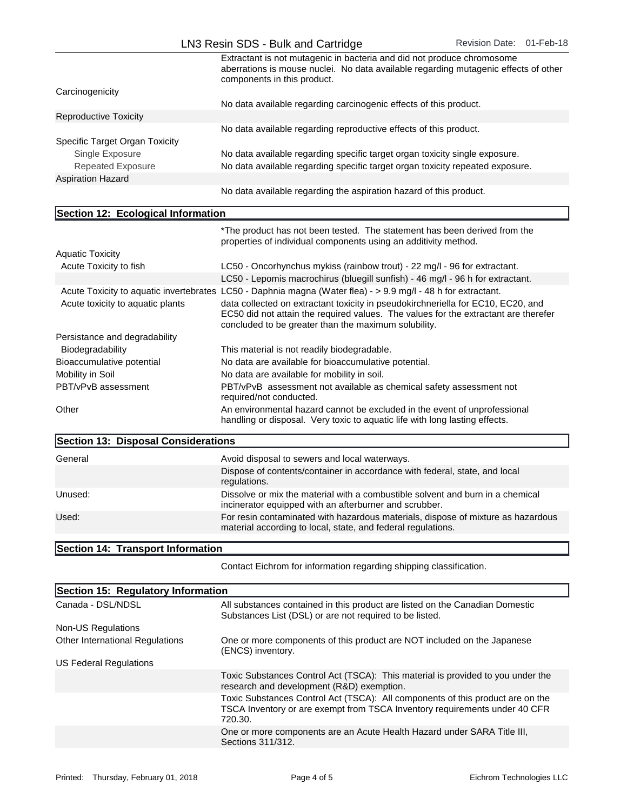|                                | Extractant is not mutagenic in bacteria and did not produce chromosome<br>aberrations is mouse nuclei. No data available regarding mutagenic effects of other<br>components in this product. |  |
|--------------------------------|----------------------------------------------------------------------------------------------------------------------------------------------------------------------------------------------|--|
| Carcinogenicity                |                                                                                                                                                                                              |  |
|                                | No data available regarding carcinogenic effects of this product.                                                                                                                            |  |
| Reproductive Toxicity          |                                                                                                                                                                                              |  |
|                                | No data available regarding reproductive effects of this product.                                                                                                                            |  |
| Specific Target Organ Toxicity |                                                                                                                                                                                              |  |
| Single Exposure                | No data available regarding specific target organ toxicity single exposure.                                                                                                                  |  |
| <b>Repeated Exposure</b>       | No data available regarding specific target organ toxicity repeated exposure.                                                                                                                |  |
| <b>Aspiration Hazard</b>       |                                                                                                                                                                                              |  |

No data available regarding the aspiration hazard of this product.

## Section 12: Ecological Information

|                                     | *The product has not been tested. The statement has been derived from the<br>properties of individual components using an additivity method.                                                                                    |
|-------------------------------------|---------------------------------------------------------------------------------------------------------------------------------------------------------------------------------------------------------------------------------|
| <b>Aquatic Toxicity</b>             |                                                                                                                                                                                                                                 |
| Acute Toxicity to fish              | LC50 - Oncorhynchus mykiss (rainbow trout) - 22 mg/l - 96 for extractant.                                                                                                                                                       |
|                                     | LC50 - Lepomis macrochirus (bluegill sunfish) - 46 mg/l - 96 h for extractant.                                                                                                                                                  |
|                                     | Acute Toxicity to aquatic invertebrates LC50 - Daphnia magna (Water flea) - > 9.9 mg/l - 48 h for extractant.                                                                                                                   |
| Acute toxicity to aquatic plants    | data collected on extractant toxicity in pseudokirchneriella for EC10, EC20, and<br>EC50 did not attain the required values. The values for the extractant are therefer<br>concluded to be greater than the maximum solubility. |
| Persistance and degradability       |                                                                                                                                                                                                                                 |
| Biodegradability                    | This material is not readily biodegradable.                                                                                                                                                                                     |
| Bioaccumulative potential           | No data are available for bioaccumulative potential.                                                                                                                                                                            |
| Mobility in Soil                    | No data are available for mobility in soil.                                                                                                                                                                                     |
| PBT/vPvB assessment                 | PBT/vPvB assessment not available as chemical safety assessment not<br>required/not conducted.                                                                                                                                  |
| Other                               | An environmental hazard cannot be excluded in the event of unprofessional<br>handling or disposal. Very toxic to aquatic life with long lasting effects.                                                                        |
| Reetion 12: Disposal Considerations |                                                                                                                                                                                                                                 |

| <b>POCCITOTI TO. DISPOSAL COTISIUE ALIOIIS</b> |                                                                                                                                                  |  |
|------------------------------------------------|--------------------------------------------------------------------------------------------------------------------------------------------------|--|
| General                                        | Avoid disposal to sewers and local waterways.                                                                                                    |  |
|                                                | Dispose of contents/container in accordance with federal, state, and local<br>regulations.                                                       |  |
| Unused:                                        | Dissolve or mix the material with a combustible solvent and burn in a chemical<br>incinerator equipped with an afterburner and scrubber.         |  |
| Used:                                          | For resin contaminated with hazardous materials, dispose of mixture as hazardous<br>material according to local, state, and federal regulations. |  |
|                                                |                                                                                                                                                  |  |

## Section 14: Transport Information

Contact Eichrom for information regarding shipping classification.

| Section 15: Regulatory Information |                                                                                                                                                                         |  |
|------------------------------------|-------------------------------------------------------------------------------------------------------------------------------------------------------------------------|--|
| Canada - DSL/NDSL                  | All substances contained in this product are listed on the Canadian Domestic<br>Substances List (DSL) or are not required to be listed.                                 |  |
| Non-US Regulations                 |                                                                                                                                                                         |  |
| Other International Regulations    | One or more components of this product are NOT included on the Japanese<br>(ENCS) inventory.                                                                            |  |
| US Federal Regulations             |                                                                                                                                                                         |  |
|                                    | Toxic Substances Control Act (TSCA): This material is provided to you under the<br>research and development (R&D) exemption.                                            |  |
|                                    | Toxic Substances Control Act (TSCA): All components of this product are on the<br>TSCA Inventory or are exempt from TSCA Inventory requirements under 40 CFR<br>720.30. |  |
|                                    | One or more components are an Acute Health Hazard under SARA Title III.<br>Sections 311/312.                                                                            |  |